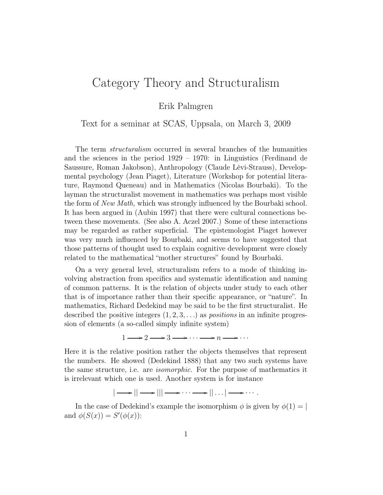## Category Theory and Structuralism

Erik Palmgren

Text for a seminar at SCAS, Uppsala, on March 3, 2009

The term structuralism occurred in several branches of the humanities and the sciences in the period 1929 – 1970: in Linguistics (Ferdinand de Saussure, Roman Jakobson), Anthropology (Claude Lévi-Strauss), Developmental psychology (Jean Piaget), Literature (Workshop for potential literature, Raymond Queneau) and in Mathematics (Nicolas Bourbaki). To the layman the structuralist movement in mathematics was perhaps most visible the form of New Math, which was strongly influenced by the Bourbaki school. It has been argued in (Aubin 1997) that there were cultural connections between these movements. (See also A. Aczel 2007.) Some of these interactions may be regarded as rather superficial. The epistemologist Piaget however was very much influenced by Bourbaki, and seems to have suggested that those patterns of thought used to explain cognitive development were closely related to the mathematical "mother structures" found by Bourbaki.

On a very general level, structuralism refers to a mode of thinking involving abstraction from specifics and systematic identification and naming of common patterns. It is the relation of objects under study to each other that is of importance rather than their specific appearance, or "nature". In mathematics, Richard Dedekind may be said to be the first structuralist. He described the positive integers  $(1, 2, 3, ...)$  as *positions* in an infinite progression of elements (a so-called simply infinite system)

$$
1 \longrightarrow 2 \longrightarrow 3 \longrightarrow \cdots \longrightarrow n \longrightarrow \cdots
$$

Here it is the relative position rather the objects themselves that represent the numbers. He showed (Dedekind 1888) that any two such systems have the same structure, i.e. are isomorphic. For the purpose of mathematics it is irrelevant which one is used. Another system is for instance

$$
| \longrightarrow || \longrightarrow ||| \longrightarrow \cdots \longrightarrow || \dots | \longrightarrow \cdots.
$$

In the case of Dedekind's example the isomorphism  $\phi$  is given by  $\phi(1) = |$ and  $\phi(S(x)) = S'(\phi(x))$ :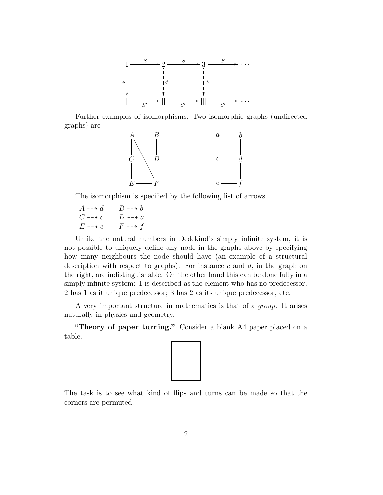

Further examples of isomorphisms: Two isomorphic graphs (undirected graphs) are



The isomorphism is specified by the following list of arrows

 $A \dashrightarrow d \qquad B \dashrightarrow b$  $C \dashrightarrow c$   $D \dashrightarrow a$  $E \dashrightarrow e$   $F \dashrightarrow f$ 

Unlike the natural numbers in Dedekind's simply infinite system, it is not possible to uniquely define any node in the graphs above by specifying how many neighbours the node should have (an example of a structural description with respect to graphs). For instance c and  $d$ , in the graph on the right, are indistinguishable. On the other hand this can be done fully in a simply infinite system: 1 is described as the element who has no predecessor; 2 has 1 as it unique predecessor; 3 has 2 as its unique predecessor, etc.

A very important structure in mathematics is that of a group. It arises naturally in physics and geometry.

"Theory of paper turning." Consider a blank A4 paper placed on a table.



The task is to see what kind of flips and turns can be made so that the corners are permuted.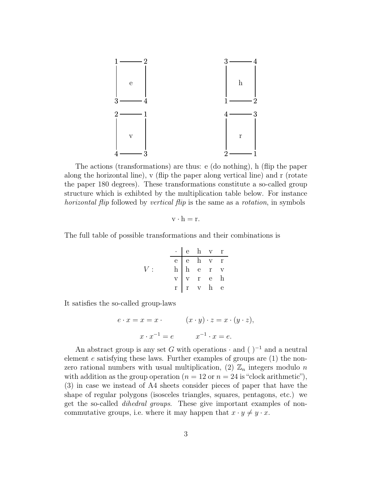

The actions (transformations) are thus: e (do nothing), h (flip the paper along the horizontal line), v (flip the paper along vertical line) and r (rotate the paper 180 degrees). These transformations constitute a so-called group structure which is exhibted by the multiplication table below. For instance horizontal flip followed by vertical flip is the same as a rotation, in symbols

$$
v \cdot h = r.
$$

The full table of possible transformations and their combinations is

$$
V: \quad \begin{array}{c|cccc}\n\cdot & e & h & v & r \\
\hline\ne & e & h & v & r \\
h & h & e & r & v \\
v & v & r & e & h \\
r & r & v & h & e\n\end{array}
$$

It satisfies the so-called group-laws

$$
e \cdot x = x = x \cdot (x \cdot y) \cdot z = x \cdot (y \cdot z),
$$

$$
x \cdot x^{-1} = e \qquad x^{-1} \cdot x = e.
$$

An abstract group is any set G with operations  $\cdot$  and ( )<sup>-1</sup> and a neutral element e satisfying these laws. Further examples of groups are (1) the nonzero rational numbers with usual multiplication, (2)  $\mathbb{Z}_n$  integers modulo n with addition as the group operation ( $n = 12$  or  $n = 24$  is "clock arithmetic"), (3) in case we instead of A4 sheets consider pieces of paper that have the shape of regular polygons (isosceles triangles, squares, pentagons, etc.) we get the so-called dihedral groups. These give important examples of noncommutative groups, i.e. where it may happen that  $x \cdot y \neq y \cdot x$ .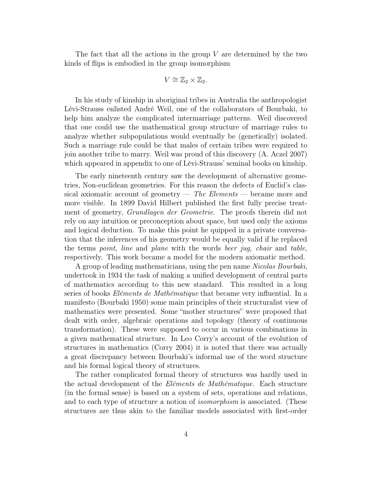The fact that all the actions in the group  $V$  are determined by the two kinds of flips is embodied in the group isomorphism

$$
V \cong \mathbb{Z}_2 \times \mathbb{Z}_2.
$$

In his study of kinship in aboriginal tribes in Australia the anthropologist Lévi-Strauss enlisted André Weil, one of the collaborators of Bourbaki, to help him analyze the complicated intermarriage patterns. Weil discovered that one could use the mathematical group structure of marriage rules to analyze whether subpopulations would eventually be (genetically) isolated. Such a marriage rule could be that males of certain tribes were required to join another tribe to marry. Weil was proud of this discovery (A. Aczel 2007) which appeared in appendix to one of Lévi-Strauss' seminal books on kinship.

The early nineteenth century saw the development of alternative geometries, Non-euclidean geometries. For this reason the defects of Euclid's classical axiomatic account of geometry — The Elements — became more and more visible. In 1899 David Hilbert published the first fully precise treatment of geometry, Grundlagen der Geometrie. The proofs therein did not rely on any intuition or preconception about space, but used only the axioms and logical deduction. To make this point he quipped in a private conversation that the inferences of his geometry would be equally valid if he replaced the terms *point*, line and *plane* with the words *beer jug, chair* and *table*, respectively. This work became a model for the modern axiomatic method.

A group of leading mathematicians, using the pen name Nicolas Bourbaki, undertook in 1934 the task of making a unified development of central parts of mathematics according to this new standard. This resulted in a long series of books Eléments de Mathématique that became very influential. In a manifesto (Bourbaki 1950) some main principles of their structuralist view of mathematics were presented. Some "mother structures" were proposed that dealt with order, algebraic operations and topology (theory of continuous transformation). These were supposed to occur in various combinations in a given mathematical structure. In Leo Corry's account of the evolution of structures in mathematics (Corry 2004) it is noted that there was actually a great discrepancy between Bourbaki's informal use of the word structure and his formal logical theory of structures.

The rather complicated formal theory of structures was hardly used in the actual development of the Eléments de Mathématique. Each structure (in the formal sense) is based on a system of sets, operations and relations, and to each type of structure a notion of isomorphism is associated. (These structures are thus akin to the familiar models associated with first-order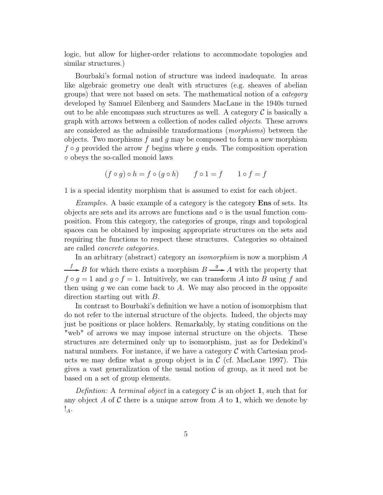logic, but allow for higher-order relations to accommodate topologies and similar structures.)

Bourbaki's formal notion of structure was indeed inadequate. In areas like algebraic geometry one dealt with structures (e.g. sheaves of abelian groups) that were not based on sets. The mathematical notion of a category developed by Samuel Eilenberg and Saunders MacLane in the 1940s turned out to be able encompass such structures as well. A category  $\mathcal C$  is basically a graph with arrows between a collection of nodes called objects. These arrows are considered as the admissible transformations (morphisms) between the objects. Two morphisms  $f$  and  $g$  may be composed to form a new morphism  $f \circ q$  provided the arrow f begins where q ends. The composition operation ◦ obeys the so-called monoid laws

$$
(f \circ g) \circ h = f \circ (g \circ h) \qquad f \circ 1 = f \qquad 1 \circ f = f
$$

1 is a special identity morphism that is assumed to exist for each object.

Examples. A basic example of a category is the category **Ens** of sets. Its objects are sets and its arrows are functions and ◦ is the usual function composition. From this category, the categories of groups, rings and topological spaces can be obtained by imposing appropriate structures on the sets and requiring the functions to respect these structures. Categories so obtained are called concrete categories.

In an arbitrary (abstract) category an *isomorphism* is now a morphism A  $f \rightarrow B$  for which there exists a morphism  $B \xrightarrow{g} A$  with the property that  $f \circ g = 1$  and  $g \circ f = 1$ . Intuitively, we can transform A into B using f and then using q we can come back to  $A$ . We may also proceed in the opposite direction starting out with B.

In contrast to Bourbaki's definition we have a notion of isomorphism that do not refer to the internal structure of the objects. Indeed, the objects may just be positions or place holders. Remarkably, by stating conditions on the "web" of arrows we may impose internal structure on the objects. These structures are determined only up to isomorphism, just as for Dedekind's natural numbers. For instance, if we have a category  $\mathcal C$  with Cartesian products we may define what a group object is in  $\mathcal C$  (cf. MacLane 1997). This gives a vast generalization of the usual notion of group, as it need not be based on a set of group elements.

Definition: A terminal object in a category  $\mathcal C$  is an object 1, such that for any object A of C there is a unique arrow from A to 1, which we denote by  $!_A.$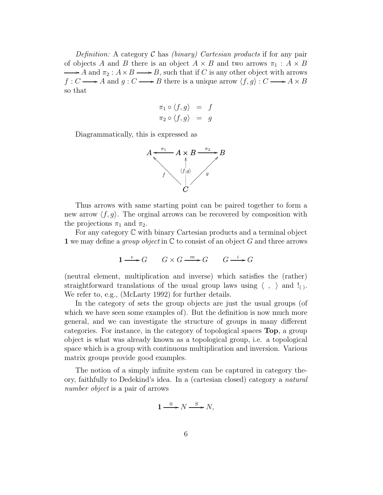Definition: A category C has *(binary)* Cartesian products if for any pair of objects A and B there is an object  $A \times B$  and two arrows  $\pi_1 : A \times B$  $\rightarrow A$  and  $\pi_2 : A \times B \longrightarrow B$ , such that if C is any other object with arrows  $f: C \longrightarrow A$  and  $g: C \longrightarrow B$  there is a unique arrow  $\langle f, g\rangle : C \longrightarrow A \times B$ so that

$$
\pi_1 \circ \langle f, g \rangle = f
$$
  

$$
\pi_2 \circ \langle f, g \rangle = g
$$

Diagrammatically, this is expressed as



Thus arrows with same starting point can be paired together to form a new arrow  $\langle f, q \rangle$ . The orginal arrows can be recovered by composition with the projections  $\pi_1$  and  $\pi_2$ .

For any category C with binary Cartesian products and a terminal object 1 we may define a *group object* in  $\mathbb C$  to consist of an object G and three arrows

$$
1 \xrightarrow{e} G \qquad G \times G \xrightarrow{m} G \qquad G \xrightarrow{i} G
$$

(neutral element, multiplication and inverse) which satisfies the (rather) straightforward translations of the usual group laws using  $\langle , \rangle$  and  $\langle , \rangle$ . We refer to, e.g., (McLarty 1992) for further details.

In the category of sets the group objects are just the usual groups (of which we have seen some examples of). But the definition is now much more general, and we can investigate the structure of groups in many different categories. For instance, in the category of topological spaces Top, a group object is what was already known as a topological group, i.e. a topological space which is a group with continuous multiplication and inversion. Various matrix groups provide good examples.

The notion of a simply infinite system can be captured in category theory, faithfully to Dedekind's idea. In a (cartesian closed) category a natural number object is a pair of arrows

$$
1 \xrightarrow{0} N \xrightarrow{S} N,
$$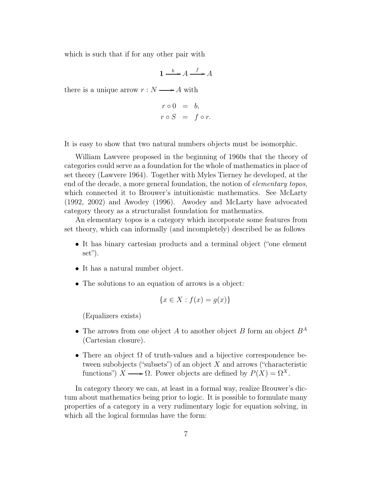which is such that if for any other pair with

$$
1 \xrightarrow{b} A \xrightarrow{f} A
$$

there is a unique arrow  $r : N \longrightarrow A$  with

$$
r \circ 0 = b,
$$
  

$$
r \circ S = f \circ r.
$$

It is easy to show that two natural numbers objects must be isomorphic.

William Lawvere proposed in the beginning of 1960s that the theory of categories could serve as a foundation for the whole of mathematics in place of set theory (Lawvere 1964). Together with Myles Tierney he developed, at the end of the decade, a more general foundation, the notion of *elementary topos*, which connected it to Brouwer's intuitionistic mathematics. See McLarty (1992, 2002) and Awodey (1996). Awodey and McLarty have advocated category theory as a structuralist foundation for mathematics.

An elementary topos is a category which incorporate some features from set theory, which can informally (and incompletely) described be as follows

- It has binary cartesian products and a terminal object ("one element set").
- It has a natural number object.
- The solutions to an equation of arrows is a object:

$$
\{x \in X : f(x) = g(x)\}\
$$

(Equalizers exists)

- The arrows from one object A to another object B form an object  $B^A$ (Cartesian closure).
- There an object  $\Omega$  of truth-values and a bijective correspondence between subobjects ("subsets") of an object  $X$  and arrows ("characteristic functions")  $X \longrightarrow \Omega$ . Power objects are defined by  $P(X) = \Omega^X$ .

In category theory we can, at least in a formal way, realize Brouwer's dictum about mathematics being prior to logic. It is possible to formulate many properties of a category in a very rudimentary logic for equation solving, in which all the logical formulas have the form: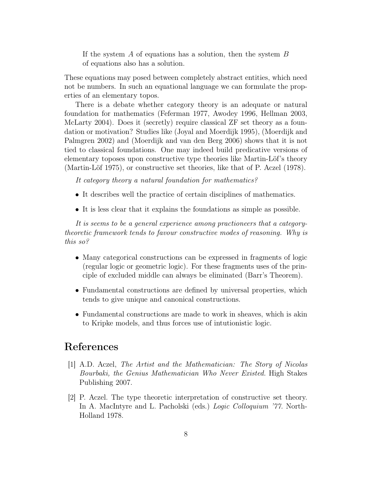If the system  $A$  of equations has a solution, then the system  $B$ of equations also has a solution.

These equations may posed between completely abstract entities, which need not be numbers. In such an equational language we can formulate the properties of an elementary topos.

There is a debate whether category theory is an adequate or natural foundation for mathematics (Feferman 1977, Awodey 1996, Hellman 2003, McLarty 2004). Does it (secretly) require classical ZF set theory as a foundation or motivation? Studies like (Joyal and Moerdijk 1995), (Moerdijk and Palmgren 2002) and (Moerdijk and van den Berg 2006) shows that it is not tied to classical foundations. One may indeed build predicative versions of elementary toposes upon constructive type theories like Martin-Löf's theory (Martin-Löf 1975), or constructive set theories, like that of P. Aczel (1978).

It category theory a natural foundation for mathematics?

- It describes well the practice of certain disciplines of mathematics.
- It is less clear that it explains the foundations as simple as possible.

It is seems to be a general experience among practioneers that a categorytheoretic framework tends to favour constructive modes of reasoning. Why is this so?

- Many categorical constructions can be expressed in fragments of logic (regular logic or geometric logic). For these fragments uses of the principle of excluded middle can always be eliminated (Barr's Theorem).
- Fundamental constructions are defined by universal properties, which tends to give unique and canonical constructions.
- Fundamental constructions are made to work in sheaves, which is akin to Kripke models, and thus forces use of intutionistic logic.

## References

- [1] A.D. Aczel, The Artist and the Mathematician: The Story of Nicolas Bourbaki, the Genius Mathematician Who Never Existed. High Stakes Publishing 2007.
- [2] P. Aczel. The type theoretic interpretation of constructive set theory. In A. MacIntyre and L. Pacholski (eds.) Logic Colloquium '77. North-Holland 1978.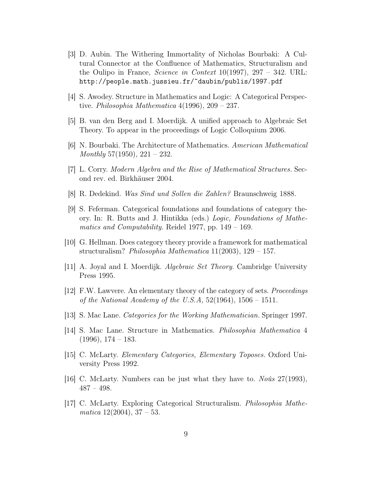- [3] D. Aubin. The Withering Immortality of Nicholas Bourbaki: A Cultural Connector at the Confluence of Mathematics, Structuralism and the Oulipo in France, *Science in Context* 10(1997), 297 – 342. URL: http://people.math.jussieu.fr/˜daubin/publis/1997.pdf
- [4] S. Awodey. Structure in Mathematics and Logic: A Categorical Perspective. *Philosophia Mathematica*  $4(1996)$ ,  $209 - 237$ .
- [5] B. van den Berg and I. Moerdijk. A unified approach to Algebraic Set Theory. To appear in the proceedings of Logic Colloquium 2006.
- [6] N. Bourbaki. The Architecture of Mathematics. American Mathematical Monthly 57(1950), 221 – 232.
- [7] L. Corry. Modern Algebra and the Rise of Mathematical Structures. Second rev. ed. Birkhäuser 2004.
- [8] R. Dedekind. Was Sind und Sollen die Zahlen? Braunschweig 1888.
- [9] S. Feferman. Categorical foundations and foundations of category theory. In: R. Butts and J. Hintikka (eds.) Logic, Foundations of Mathematics and Computability. Reidel 1977, pp. 149 – 169.
- [10] G. Hellman. Does category theory provide a framework for mathematical structuralism? Philosophia Mathematica 11(2003), 129 – 157.
- [11] A. Joyal and I. Moerdijk. Algebraic Set Theory. Cambridge University Press 1995.
- [12] F.W. Lawvere. An elementary theory of the category of sets. Proceedings of the National Academy of the U.S.A,  $52(1964)$ ,  $1506 - 1511$ .
- [13] S. Mac Lane. Categories for the Working Mathematician. Springer 1997.
- [14] S. Mac Lane. Structure in Mathematics. Philosophia Mathematica 4  $(1996), 174 - 183.$
- [15] C. McLarty. Elementary Categories, Elementary Toposes. Oxford University Press 1992.
- [16] C. McLarty. Numbers can be just what they have to. Noûs 27(1993),  $487 - 498.$
- [17] C. McLarty. Exploring Categorical Structuralism. Philosophia Mathematica  $12(2004)$ ,  $37-53$ .